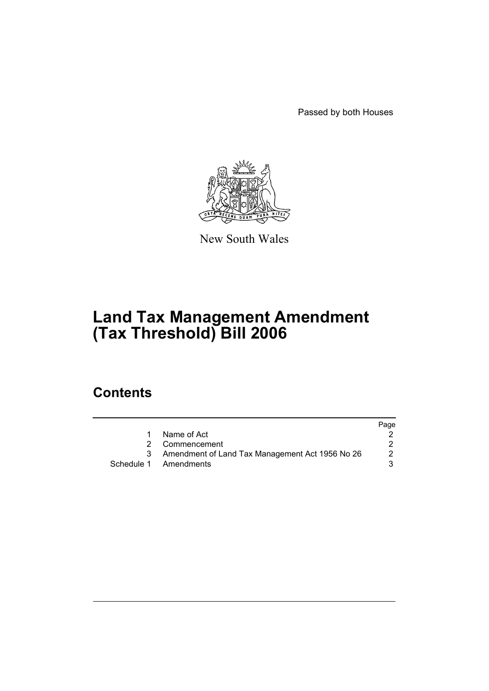Passed by both Houses



New South Wales

# **Land Tax Management Amendment (Tax Threshold) Bill 2006**

## **Contents**

|                                                   | Page |
|---------------------------------------------------|------|
| Name of Act                                       |      |
| 2 Commencement                                    |      |
| 3 Amendment of Land Tax Management Act 1956 No 26 | 2    |
| Schedule 1 Amendments                             | 3    |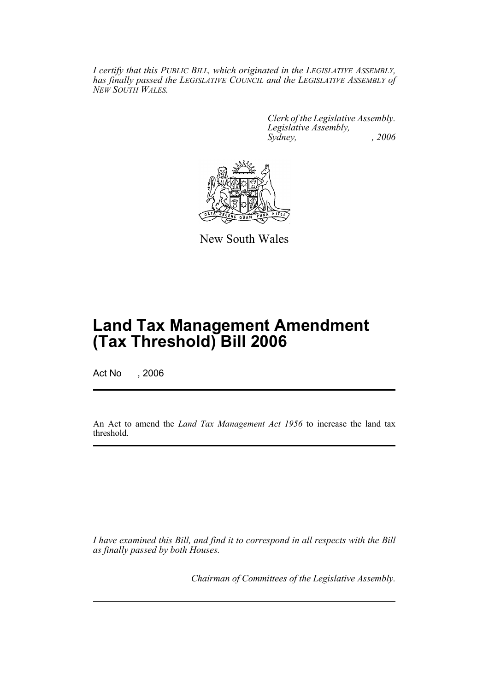*I certify that this PUBLIC BILL, which originated in the LEGISLATIVE ASSEMBLY, has finally passed the LEGISLATIVE COUNCIL and the LEGISLATIVE ASSEMBLY of NEW SOUTH WALES.*

> *Clerk of the Legislative Assembly. Legislative Assembly, Sydney, , 2006*



New South Wales

## **Land Tax Management Amendment (Tax Threshold) Bill 2006**

Act No , 2006

An Act to amend the *Land Tax Management Act 1956* to increase the land tax threshold.

*I have examined this Bill, and find it to correspond in all respects with the Bill as finally passed by both Houses.*

*Chairman of Committees of the Legislative Assembly.*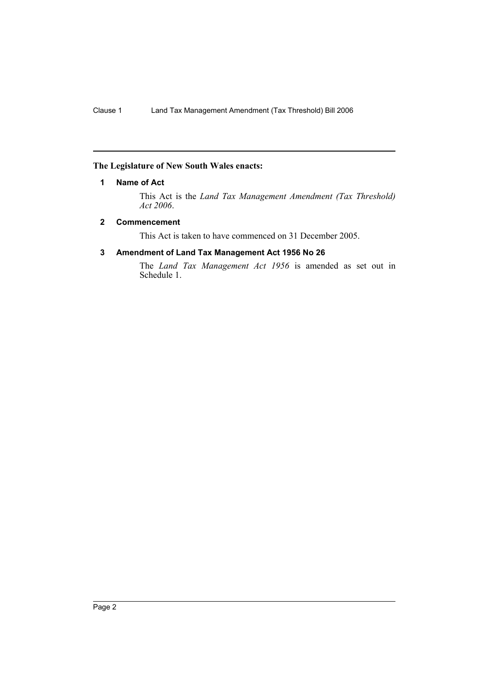#### **The Legislature of New South Wales enacts:**

#### **1 Name of Act**

This Act is the *Land Tax Management Amendment (Tax Threshold) Act 2006*.

#### **2 Commencement**

This Act is taken to have commenced on 31 December 2005.

#### **3 Amendment of Land Tax Management Act 1956 No 26**

The *Land Tax Management Act 1956* is amended as set out in Schedule 1.